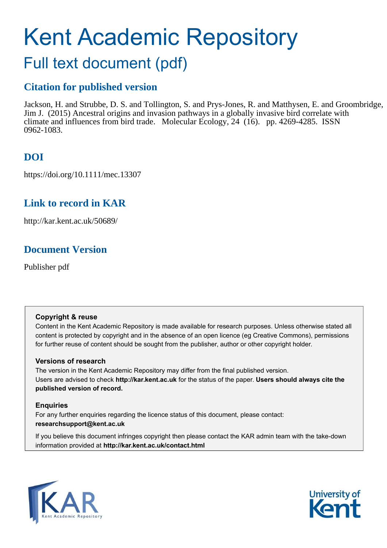# Kent Academic Repository

## Full text document (pdf)

## **Citation for published version**

Jackson, H. and Strubbe, D. S. and Tollington, S. and Prys-Jones, R. and Matthysen, E. and Groombridge, Jim J. (2015) Ancestral origins and invasion pathways in a globally invasive bird correlate with climate and influences from bird trade. Molecular Ecology, 24 (16). pp. 4269-4285. ISSN 0962-1083.

## **DOI**

https://doi.org/10.1111/mec.13307

## **Link to record in KAR**

http://kar.kent.ac.uk/50689/

## **Document Version**

Publisher pdf

#### **Copyright & reuse**

Content in the Kent Academic Repository is made available for research purposes. Unless otherwise stated all content is protected by copyright and in the absence of an open licence (eg Creative Commons), permissions for further reuse of content should be sought from the publisher, author or other copyright holder.

#### **Versions of research**

The version in the Kent Academic Repository may differ from the final published version. Users are advised to check **http://kar.kent.ac.uk** for the status of the paper. **Users should always cite the published version of record.**

#### **Enquiries**

For any further enquiries regarding the licence status of this document, please contact: **researchsupport@kent.ac.uk**

If you believe this document infringes copyright then please contact the KAR admin team with the take-down information provided at **http://kar.kent.ac.uk/contact.html**



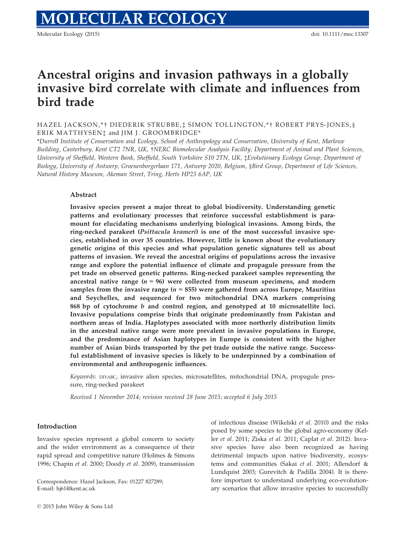## Ancestral origins and invasion pathways in a globally invasive bird correlate with climate and influences from bird trade

HAZEL JACKSON,\*† DIEDERIK STRUBBE,‡ SIMON TOLLINGTON,\*† ROBERT PRYS-JONES,§ ERIK MATTHYSEN<sup>†</sup> and JIM J. GROOMBRIDGE<sup>\*</sup>

\**Durrell Institute of Conservation and Ecology, School of Anthropology and Conservation, University of Kent, Marlowe Building, Canterbury, Kent CT2 7NR, UK,* †*NERC Biomolecular Analysis Facility, Department of Animal and Plant Sciences, University of Sheffield, Western Bank, Sheffield, South Yorkshire S10 2TN, UK,* ‡*Evolutionary Ecology Group, Department of Biology, University of Antwerp, Groenenborgerlaan 171, Antwerp 2020, Belgium,* §*Bird Group, Department of Life Sciences, Natural History Museum, Akeman Street, Tring, Herts HP23 6AP, UK*

#### Abstract

Invasive species present a major threat to global biodiversity. Understanding genetic patterns and evolutionary processes that reinforce successful establishment is paramount for elucidating mechanisms underlying biological invasions. Among birds, the ring-necked parakeet (Psittacula krameri) is one of the most successful invasive species, established in over 35 countries. However, little is known about the evolutionary genetic origins of this species and what population genetic signatures tell us about patterns of invasion. We reveal the ancestral origins of populations across the invasive range and explore the potential influence of climate and propagule pressure from the pet trade on observed genetic patterns. Ring-necked parakeet samples representing the ancestral native range  $(n = 96)$  were collected from museum specimens, and modern samples from the invasive range  $(n = 855)$  were gathered from across Europe, Mauritius and Seychelles, and sequenced for two mitochondrial DNA markers comprising 868 bp of cytochrome b and control region, and genotyped at 10 microsatellite loci. Invasive populations comprise birds that originate predominantly from Pakistan and northern areas of India. Haplotypes associated with more northerly distribution limits in the ancestral native range were more prevalent in invasive populations in Europe, and the predominance of Asian haplotypes in Europe is consistent with the higher number of Asian birds transported by the pet trade outside the native range. Successful establishment of invasive species is likely to be underpinned by a combination of environmental and anthropogenic influences.

*Keywords*: DIYABC, invasive alien species, microsatellites, mitochondrial DNA, propagule pressure, ring-necked parakeet

*Received 1 November 2014; revision received 28 June 2015; accepted 6 July 2015*

#### Introduction

Invasive species represent a global concern to society and the wider environment as a consequence of their rapid spread and competitive nature (Holmes & Simons 1996; Chapin *et al.* 2000; Doody *et al.* 2009), transmission

Correspondence: Hazel Jackson, Fax: 01227 827289; E-mail: hj61@kent.ac.uk

of infectious disease (Wikelski *et al.* 2010) and the risks posed by some species to the global agro-economy (Keller *et al.* 2011; Ziska *et al.* 2011; Caplat *et al.* 2012). Invasive species have also been recognized as having detrimental impacts upon native biodiversity, ecosystems and communities (Sakai *et al.* 2001; Allendorf & Lundquist 2003; Gurevitch & Padilla 2004). It is therefore important to understand underlying eco-evolutionary scenarios that allow invasive species to successfully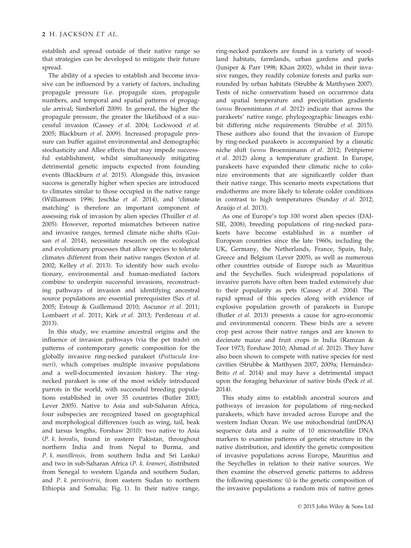establish and spread outside of their native range so that strategies can be developed to mitigate their future spread.

The ability of a species to establish and become invasive can be influenced by a variety of factors, including propagule pressure (i.e. propagule sizes, propagule numbers, and temporal and spatial patterns of propagule arrival; Simberloff 2009). In general, the higher the propagule pressure, the greater the likelihood of a successful invasion (Cassey *et al.* 2004; Lockwood *et al.* 2005; Blackburn *et al.* 2009). Increased propagule pressure can buffer against environmental and demographic stochasticity and Allee effects that may impede successful establishment, whilst simultaneously mitigating detrimental genetic impacts expected from founding events (Blackburn *et al.* 2015). Alongside this, invasion success is generally higher when species are introduced to climates similar to those occupied in the native range (Williamson 1996; Jeschke *et al*. 2014), and 'climate matching' is therefore an important component of assessing risk of invasion by alien species (Thuiller *et al.* 2005). However, reported mismatches between native and invasive ranges, termed climate niche shifts (Guisan *et al.* 2014), necessitate research on the ecological and evolutionary processes that allow species to tolerate climates different from their native ranges (Sexton *et al.* 2002; Kelley *et al.* 2013). To identify how such evolutionary, environmental and human-mediated factors combine to underpin successful invasions, reconstructing pathways of invasion and identifying ancestral source populations are essential prerequisites (Sax *et al.* 2005; Estoup & Guillemaud 2010; Ascunce *et al.* 2011; Lombaert *et al.* 2011; Kirk *et al.* 2013; Perdereau *et al.* 2013).

In this study, we examine ancestral origins and the influence of invasion pathways (via the pet trade) on patterns of contemporary genetic composition for the globally invasive ring-necked parakeet (*Psittacula krameri*)*,* which comprises multiple invasive populations and a well-documented invasion history. The ringnecked parakeet is one of the most widely introduced parrots in the world, with successful breeding populations established in over 35 countries (Butler 2003; Lever 2005). Native to Asia and sub-Saharan Africa, four subspecies are recognized based on geographical and morphological differences (such as wing, tail, beak and tarsus lengths, Forshaw 2010): two native to Asia (*P. k. borealis*, found in eastern Pakistan, throughout northern India and from Nepal to Burma, and *P. k. manillensis,* from southern India and Sri Lanka) and two in sub-Saharan Africa (*P. k. krameri*, distributed from Senegal to western Uganda and southern Sudan, and *P. k. parvirostris*, from eastern Sudan to northern Ethiopia and Somalia; Fig. 1). In their native range,

ring-necked parakeets are found in a variety of woodland habitats, farmlands, urban gardens and parks (Juniper & Parr 1998; Khan 2002), whilst in their invasive ranges, they readily colonize forests and parks surrounded by urban habitats (Strubbe & Matthysen 2007). Tests of niche conservatism based on occurrence data and spatial temperature and precipitation gradients (*sensu* Broennimann *et al.* 2012) indicate that across the parakeets' native range, phylogeographic lineages exhibit differing niche requirements (Strubbe *et al.* 2015). These authors also found that the invasion of Europe by ring-necked parakeets is accompanied by a climatic niche shift (*sensu* Broennimann *et al.* 2012; Petitpierre *et al.* 2012) along a temperature gradient. In Europe, parakeets have expanded their climatic niche to colonize environments that are significantly colder than their native range. This scenario meets expectations that endotherms are more likely to tolerate colder conditions in contrast to high temperatures (Sunday *et al.* 2012; Araujo *et al.* 2013).

As one of Europe's top 100 worst alien species (DAI-SIE, 2008), breeding populations of ring-necked parakeets have become established in a number of European countries since the late 1960s, including the UK, Germany, the Netherlands, France, Spain, Italy, Greece and Belgium (Lever 2005), as well as numerous other countries outside of Europe such as Mauritius and the Seychelles. Such widespread populations of invasive parrots have often been traded extensively due to their popularity as pets (Cassey *et al.* 2004). The rapid spread of this species along with evidence of explosive population growth of parakeets in Europe (Butler *et al.* 2013) presents a cause for agro-economic and environmental concern. These birds are a severe crop pest across their native ranges and are known to decimate maize and fruit crops in India (Ramzan & Toor 1973; Forshaw 2010; Ahmad *et al.* 2012). They have also been shown to compete with native species for nest cavities (Strubbe & Matthysen 2007, 2009a; Hernández-Brito *et al.* 2014) and may have a detrimental impact upon the foraging behaviour of native birds (Peck *et al.* 2014).

This study aims to establish ancestral sources and pathways of invasion for populations of ring-necked parakeets, which have invaded across Europe and the western Indian Ocean. We use mitochondrial (mtDNA) sequence data and a suite of 10 microsatellite DNA markers to examine patterns of genetic structure in the native distribution, and identify the genetic composition of invasive populations across Europe, Mauritius and the Seychelles in relation to their native sources. We then examine the observed genetic patterns to address the following questions: (i) is the genetic composition of the invasive populations a random mix of native genes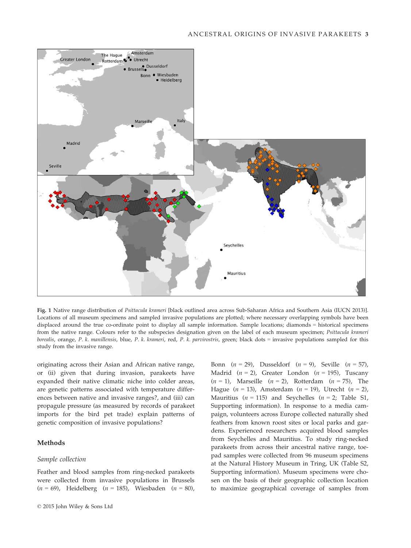

Fig. 1 Native range distribution of *Psittacula krameri* [black outlined area across Sub-Saharan Africa and Southern Asia (IUCN 2013)]. Locations of all museum specimens and sampled invasive populations are plotted; where necessary overlapping symbols have been displaced around the true co-ordinate point to display all sample information. Sample locations; diamonds = historical specimens from the native range. Colours refer to the subspecies designation given on the label of each museum specimen; *Psittacula krameri borealis*, orange, *P. k. manillensis*, blue, *P. k. krameri*, red, *P. k. parvirostris*, green; black dots = invasive populations sampled for this study from the invasive range.

originating across their Asian and African native range, or (ii) given that during invasion, parakeets have expanded their native climatic niche into colder areas, are genetic patterns associated with temperature differences between native and invasive ranges?, and (iii) can propagule pressure (as measured by records of parakeet imports for the bird pet trade) explain patterns of genetic composition of invasive populations?

#### Methods

#### *Sample collection*

Feather and blood samples from ring-necked parakeets were collected from invasive populations in Brussels (*n* = 69), Heidelberg (*n* = 185), Wiesbaden (*n* = 80), Bonn (*n* = 29), Dusseldorf (*n* = 9), Seville (*n* = 57), Madrid  $(n = 2)$ , Greater London  $(n = 195)$ , Tuscany (*n* = 1), Marseille (*n* = 2), Rotterdam (*n* = 75), The Hague (*n* = 13), Amsterdam (*n* = 19), Utrecht (*n* = 2), Mauritius  $(n = 115)$  and Seychelles  $(n = 2;$  Table S1, Supporting information). In response to a media campaign, volunteers across Europe collected naturally shed feathers from known roost sites or local parks and gardens. Experienced researchers acquired blood samples from Seychelles and Mauritius. To study ring-necked parakeets from across their ancestral native range, toepad samples were collected from 96 museum specimens at the Natural History Museum in Tring, UK (Table S2, Supporting information). Museum specimens were chosen on the basis of their geographic collection location to maximize geographical coverage of samples from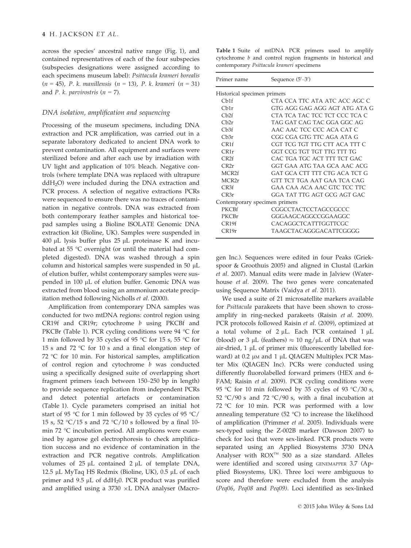across the species' ancestral native range (Fig. 1), and contained representatives of each of the four subspecies (subspecies designations were assigned according to each specimens museum label): *Psittacula krameri borealis* (*n* = 45), *P. k. manillensis* (*n* = 13), *P. k. krameri* (*n* = 31) and *P. k. parvirostris*  $(n = 7)$ .

#### *DNA isolation, amplification and sequencing*

Processing of the museum specimens, including DNA extraction and PCR amplification, was carried out in a separate laboratory dedicated to ancient DNA work to prevent contamination. All equipment and surfaces were sterilized before and after each use by irradiation with UV light and application of 10% bleach. Negative controls (where template DNA was replaced with ultrapure  $ddH<sub>2</sub>O$ ) were included during the DNA extraction and PCR process. A selection of negative extractions PCRs were sequenced to ensure there was no traces of contamination in negative controls. DNA was extracted from both contemporary feather samples and historical toepad samples using a Bioline ISOLATE Genomic DNA extraction kit (Bioline, UK). Samples were suspended in  $400 \mu L$  lysis buffer plus 25  $\mu L$  proteinase K and incubated at 55 °C overnight (or until the material had completed digested). DNA was washed through a spin column and historical samples were suspended in  $50 \mu L$ of elution buffer, whilst contemporary samples were suspended in 100 µL of elution buffer. Genomic DNA was extracted from blood using an ammonium acetate precipitation method following Nicholls *et al.* (2000).

Amplification from contemporary DNA samples was conducted for two mtDNA regions: control region using CR19f and CR19r; cytochrome *b* using PKCBf and PKCBr (Table 1). PCR cycling conditions were 94 °C for 1 min followed by 35 cycles of 95 °C for 15 s, 55 °C for 15 s and 72 °C for 10 s and a final elongation step of 72 °C for 10 min. For historical samples, amplification of control region and cytochrome *b* was conducted using a specifically designed suite of overlapping short fragment primers (each between 150–250 bp in length) to provide sequence replication from independent PCRs and detect potential artefacts or contamination (Table 1). Cycle parameters comprised an initial hot start of 95 °C for 1 min followed by 35 cycles of 95 °C/ 15 s, 52 °C/15 s and 72 °C/10 s followed by a final 10 min 72 °C incubation period. All amplicons were examined by agarose gel electrophoresis to check amplification success and no evidence of contamination in the extraction and PCR negative controls. Amplification volumes of  $25 \mu L$  contained  $2 \mu L$  of template DNA, 12.5  $\mu$ L MyTaq HS Redmix (Bioline, UK), 0.5  $\mu$ L of each primer and  $9.5 \mu L$  of ddH<sub>2</sub>0. PCR product was purified and amplified using a  $3730 \times L$  DNA analyser (Macro-

Table 1 Suite of mtDNA PCR primers used to amplify cytochrome *b* and control region fragments in historical and contemporary *Psittacula krameri* specimens

| Primer name                   | Sequence $(5'-3')$            |  |  |  |  |  |
|-------------------------------|-------------------------------|--|--|--|--|--|
| Historical specimen primers   |                               |  |  |  |  |  |
| Ch1f                          | CTA CCA TTC ATA ATC ACC AGC C |  |  |  |  |  |
| Cb1r                          | GTG AGG GAG AGG AGT ATG ATA G |  |  |  |  |  |
| Ch <sub>2f</sub>              | CTA TCA TAC TCC TCT CCC TCA C |  |  |  |  |  |
| Ch2r                          | TAG GAT CAG TAC GGA GGC AG    |  |  |  |  |  |
| Ch3f                          | AAC AAC TCC CCC ACA CAT C     |  |  |  |  |  |
| Ch3r                          | CGG CGA GTG TTC AGA ATA G     |  |  |  |  |  |
| CR1f                          | CGT TCG TGT TTG CTT ACA TTT C |  |  |  |  |  |
| CR1r                          | GGT CCG TGT TGT TTG TTT TG    |  |  |  |  |  |
| CR2f                          | CAC TGA TGC ACT TTT TCT GAC   |  |  |  |  |  |
| CR2r                          | GGT GAA ATG TAA GCA AAC ACG   |  |  |  |  |  |
| MCR <sub>2f</sub>             | GAT GCA CTT TTT CTG ACA TCT G |  |  |  |  |  |
| MCR <sub>2r</sub>             | GTT TCT TGA AAT GAA TCA CAG   |  |  |  |  |  |
| CR3f                          | GAA CAA ACA AAC GTC TCC TTC   |  |  |  |  |  |
| CR3r                          | GGA TAT TTG AGT GCG AGT GAC   |  |  |  |  |  |
| Contemporary specimen primers |                               |  |  |  |  |  |
| <b>PKCBf</b>                  | CGGCCTACTCCTAGCCGCCC          |  |  |  |  |  |
| PKCBr                         | GGGAAGCAGGCCGGAAGGC           |  |  |  |  |  |
| CR19f                         | CACAGGCTCATTTGGTTCGC          |  |  |  |  |  |
| CR19r                         | TAAGCTACAGGGACATTCGGGG        |  |  |  |  |  |

gen Inc.). Sequences were edited in four Peaks (Griekspoor & Groothuis 2005) and aligned in Clustal (Larkin *et al.* 2007). Manual edits were made in Jalview (Waterhouse *et al.* 2009). The two genes were concatenated using Sequence Matrix (Vaidya *et al.* 2011).

We used a suite of 21 microsatellite markers available for *Psittacula* parakeets that have been shown to crossamplify in ring-necked parakeets (Raisin *et al.* 2009). PCR protocols followed Raisin *et al.* (2009), optimized at a total volume of  $2 \mu L$ . Each PCR contained  $1 \mu L$ (blood) or 3  $\mu$ L (feathers)  $\approx 10$  ng/ $\mu$ L of DNA that was air-dried,  $1 \mu L$  of primer mix (fluorescently labelled forward) at 0.2 µM and 1 µL QIAGEN Multiplex PCR Master Mix (QIAGEN Inc). PCRs were conducted using differently fluorolabelled forward primers (HEX and 6- FAM; Raisin *et al.* 2009). PCR cycling conditions were 95 °C for 10 min followed by 35 cycles of 93 °C/30 s, 52 °C/90 s and 72 °C/90 s, with a final incubation at 72 °C for 10 min. PCR was performed with a low annealing temperature  $(52 \text{ °C})$  to increase the likelihood of amplification (Primmer *et al.* 2005). Individuals were sex-typed using the Z-002B marker (Dawson 2007) to check for loci that were sex-linked. PCR products were separated using an Applied Biosystems 3730 DNA Analyser with  $ROX^{TM}$  500 as a size standard. Alleles were identified and scored using GENEMAPPER 3.7 (Applied Biosystems, UK). Three loci were ambiguous to score and therefore were excluded from the analysis (*Peq06*, *Peq08* and *Peq09)*. Loci identified as sex-linked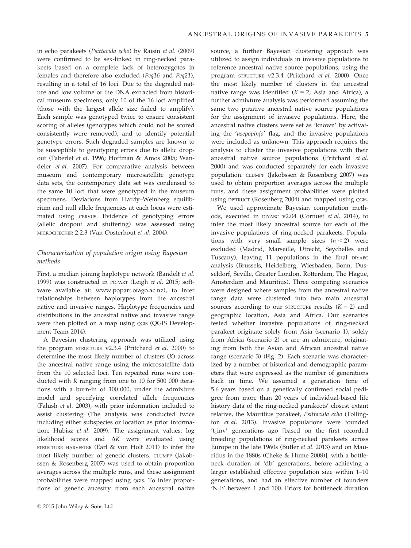in echo parakeets (*Psittacula echo*) by Raisin *et al.* (2009) were confirmed to be sex-linked in ring-necked parakeets based on a complete lack of heterozygotes in females and therefore also excluded (*Peq16* and *Peq21*), resulting in a total of 16 loci. Due to the degraded nature and low volume of the DNA extracted from historical museum specimens, only 10 of the 16 loci amplified (those with the largest allele size failed to amplify). Each sample was genotyped twice to ensure consistent scoring of alleles (genotypes which could not be scored consistently were removed), and to identify potential genotype errors. Such degraded samples are known to be susceptible to genotyping errors due to allelic dropout (Taberlet *et al.* 1996; Hoffman & Amos 2005; Wandeler *et al.* 2007). For comparative analysis between museum and contemporary microsatellite genotype data sets, the contemporary data set was condensed to the same 10 loci that were genotyped in the museum specimens. Deviations from Hardy–Weinberg equilibrium and null allele frequencies at each locus were estimated using CERVUS*.* Evidence of genotyping errors (allelic dropout and stuttering) was assessed using MICROCHECKER 2.2.3 (Van Oosterhout *et al.* 2004).

#### *Characterization of population origin using Bayesian methods*

First, a median joining haplotype network (Bandelt *et al.* 1999) was constructed in POPART (Leigh *et al.* 2015; software available at: [www.popart.otago.ac.nz](http://www.popart.otago.ac.nz)), to infer relationships between haplotypes from the ancestral native and invasive ranges. Haplotype frequencies and distributions in the ancestral native and invasive range were then plotted on a map using QGIS (QGIS Development Team 2014).

A Bayesian clustering approach was utilized using the program STRUCTURE v2.3.4 (Pritchard *et al.* 2000) to determine the most likely number of clusters (*K*) across the ancestral native range using the microsatellite data from the 10 selected loci. Ten repeated runs were conducted with *K* ranging from one to 10 for 500 000 iterations with a burn-in of 100 000, under the admixture model and specifying correlated allele frequencies (Falush *et al.* 2003), with prior information included to assist clustering (The analysis was conducted twice including either subspecies or location as prior information; Hubisz *et al.* 2009). The assignment values, log likelihood scores and D*K* were evaluated using STRUCTURE HARVESTER (Earl & von Holt 2011) to infer the most likely number of genetic clusters. CLUMPP (Jakobssen & Rosenberg 2007) was used to obtain proportion averages across the multiple runs, and these assignment probabilities were mapped using QGIS. To infer proportions of genetic ancestry from each ancestral native source, a further Bayesian clustering approach was utilized to assign individuals in invasive populations to reference ancestral native source populations, using the program STRUCTURE v2.3.4 (Pritchard *et al.* 2000). Once the most likely number of clusters in the ancestral native range was identified  $(K = 2)$ ; Asia and Africa), a further admixture analysis was performed assuming the same two putative ancestral native source populations for the assignment of invasive populations. Here, the ancestral native clusters were set as 'known' by activating the '*usepopinfo'* flag, and the invasive populations were included as unknown. This approach requires the analysis to cluster the invasive populations with their ancestral native source populations (Pritchard *et al.* 2000) and was conducted separately for each invasive population. CLUMPP (Jakobssen & Rosenberg 2007) was used to obtain proportion averages across the multiple runs, and these assignment probabilities were plotted using DISTRUCT (Rosenberg 2004) and mapped using QGIS.

We used approximate Bayesian computation methods, executed in DIYABC v2.04 (Cornuet *et al.* 2014), to infer the most likely ancestral source for each of the invasive populations of ring-necked parakeets. Populations with very small sample sizes  $(n < 2)$  were excluded (Madrid, Marseille, Utrecht, Seychelles and Tuscany), leaving 11 populations in the final DIYABC analysis (Brussels, Heidelberg, Wiesbaden, Bonn, Dusseldorf, Seville, Greater London, Rotterdam, The Hague, Amsterdam and Mauritius). Three competing scenarios were designed where samples from the ancestral native range data were clustered into two main ancestral sources according to our STRUCTURE results  $(K = 2)$  and geographic location, Asia and Africa. Our scenarios tested whether invasive populations of ring-necked parakeet originate solely from Asia (scenario 1), solely from Africa (scenario 2) or are an admixture, originating from both the Asian and African ancestral native range (scenario 3) (Fig. 2). Each scenario was characterized by a number of historical and demographic parameters that were expressed as the number of generations back in time. We assumed a generation time of 5.6 years based on a genetically confirmed social pedigree from more than 20 years of individual-based life history data of the ring-necked parakeets' closest extant relative, the Mauritius parakeet, *Psittacula echo* (Tollington *et al.* 2013). Invasive populations were founded 't<sub>1</sub>inv' generations ago [based on the first recorded breeding populations of ring-necked parakeets across Europe in the late 1960s (Butler *et al.* 2013) and on Mauritius in the 1880s (Cheke & Hume 2008)], with a bottleneck duration of 'db' generations, before achieving a larger established effective population size within 1–10 generations, and had an effective number of founders 'N1b' between 1 and 100. Priors for bottleneck duration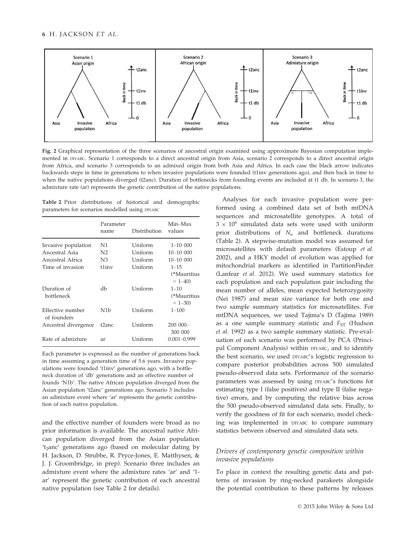

Fig. 2 Graphical representation of the three scenarios of ancestral origin examined using approximate Bayesian computation implemented in DIYABC. Scenario 1 corresponds to a direct ancestral origin from Asia, scenario 2 corresponds to a direct ancestral origin from Africa, and scenario 3 corresponds to an admixed origin from both Asia and Africa. In each case the black arrow indicates backwards steps in time in generations to when invasive populations were founded (t1inv generations ago), and then back in time to when the native populations diverged (t2anc). Duration of bottlenecks from founding events are included at t1 db. In scenario 3, the admixture rate (ar) represents the genetic contribution of the native populations.

Table 2 Prior distributions of historical and demographic parameters for scenarios modelled using DIYABC

|                                 | Parameter<br>name | Distribution | Min-Max<br>values                     |
|---------------------------------|-------------------|--------------|---------------------------------------|
| Invasive population             | N1                | Uniform      | $1 - 10000$                           |
| Ancestral Asia                  | N <sub>2</sub>    | Uniform      | $10 - 1000$                           |
| Ancestral Africa                | N <sub>3</sub>    | Uniform      | $10 - 1000$                           |
| Time of invasion                | t1inv             | Uniform      | $1 - 15$                              |
| Duration of                     | dh                | Uniform      | (*Mauritius<br>$= 1 - 40$<br>$1 - 10$ |
| bottleneck                      |                   |              | (*Mauritius<br>$= 1 - 30$             |
| Effective number<br>of founders | N <sub>1</sub> b  | Uniform      | $1 - 100$                             |
| Ancestral divergence            | t2anc             | Uniform      | $200000 -$<br>300 000                 |
| Rate of admixture               | ar                | Uniform      | $0.001 - 0.999$                       |

Each parameter is expressed as the number of generations back in time assuming a generation time of 5.6 years. Invasive populations were founded 't1inv' generations ago, with a bottleneck duration of 'db' generations and an effective number of founds 'N1b'. The native African population diverged from the Asian population 't2anc' generations ago. Scenario 3 includes an admixture event where 'ar' represents the genetic contribution of each native population.

and the effective number of founders were broad as no prior information is available. The ancestral native African population diverged from the Asian population 't<sub>2</sub>anc' generations ago (based on molecular dating by H. Jackson, D. Strubbe, R. Pryce-Jones, E. Matthysen, & J. J. Groombridge, in prep). Scenario three includes an admixture event where the admixture rates 'ar' and '1 ar' represent the genetic contribution of each ancestral native population (see Table 2 for details).

Analyses for each invasive population were performed using a combined data set of both mtDNA sequences and microsatellite genotypes. A total of  $3 \times 10^6$  simulated data sets were used with uniform prior distributions of *N*<sup>e</sup> and bottleneck durations (Table 2). A stepwise-mutation model was assumed for microsatellites with default parameters (Estoup *et al.* 2002), and a HKY model of evolution was applied for mitochondrial markers as identified in PartitionFinder (Lanfear *et al.* 2012). We used summary statistics for each population and each population pair including the mean number of alleles, mean expected heterozygosity (Nei 1987) and mean size variance for both one and two sample summary statistics for microsatellites. For mtDNA sequences, we used Tajima's D (Tajima 1989) as a one sample summary statistic and *F*<sub>ST</sub> (Hudson *et al.* 1992) as a two sample summary statistic. Pre-evaluation of each scenario was performed by PCA (Principal Component Analysis) within DIYABC, and to identify the best scenario, we used DIYABC's logistic regression to compare posterior probabilities across 500 simulated pseudo-observed data sets. Performance of the scenario parameters was assessed by using DIYABC's functions for estimating type I (false positives) and type II (false negative) errors, and by computing the relative bias across the 500 pseudo-observed simulated data sets. Finally, to verify the goodness of fit for each scenario, model checking was implemented in DIYABC to compare summary statistics between observed and simulated data sets.

#### *Drivers of contemporary genetic composition within invasive populations*

To place in context the resulting genetic data and patterns of invasion by ring-necked parakeets alongside the potential contribution to these patterns by releases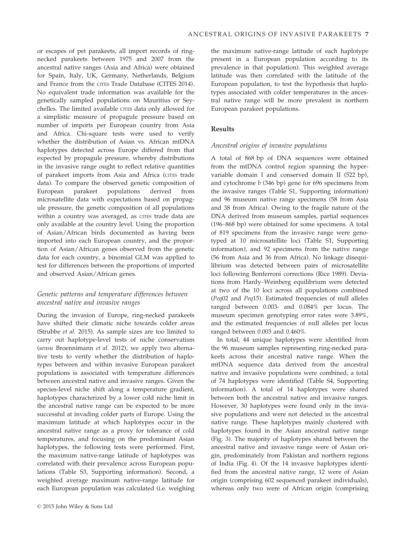or escapes of pet parakeets, all import records of ringnecked parakeets between 1975 and 2007 from the ancestral native ranges (Asia and Africa) were obtained for Spain, Italy, UK, Germany, Netherlands, Belgium and France from the CITES Trade Database (CITES 2014). No equivalent trade information was available for the genetically sampled populations on Mauritius or Seychelles. The limited available CITES data only allowed for a simplistic measure of propagule pressure based on number of imports per European country from Asia and Africa. Chi-square tests were used to verify whether the distribution of Asian vs. African mtDNA haplotypes detected across Europe differed from that expected by propagule pressure, whereby distributions in the invasive range ought to reflect relative quantities of parakeet imports from Asia and Africa (CITES trade data). To compare the observed genetic composition of European parakeet populations derived from microsatellite data with expectations based on propagule pressure, the genetic composition of all populations within a country was averaged, as CITES trade data are only available at the country level. Using the proportion of Asian/African birds documented as having been imported into each European country, and the proportion of Asian/African genes observed from the genetic data for each country, a binomial GLM was applied to test for differences between the proportions of imported and observed Asian/African genes.

#### *Genetic patterns and temperature differences between ancestral native and invasive ranges*

During the invasion of Europe, ring-necked parakeets have shifted their climatic niche towards colder areas (Strubbe *et al.* 2015). As sample sizes are too limited to carry out haplotype-level tests of niche conservatism (*sensu* Broennimann *et al.* 2012), we apply two alternative tests to verify whether the distribution of haplotypes between and within invasive European parakeet populations is associated with temperature differences between ancestral native and invasive ranges. Given the species-level niche shift along a temperature gradient, haplotypes characterized by a lower cold niche limit in the ancestral native range can be expected to be more successful at invading colder parts of Europe. Using the maximum latitude at which haplotypes occur in the ancestral native range as a proxy for tolerance of cold temperatures, and focusing on the predominant Asian haplotypes, the following tests were performed. First, the maximum native-range latitude of haplotypes was correlated with their prevalence across European populations (Table S3, Supporting information). Second, a weighted average maximum native-range latitude for each European population was calculated (i.e. weighing the maximum native-range latitude of each haplotype present in a European population according to its prevalence in that population). This weighted average latitude was then correlated with the latitude of the European population, to test the hypothesis that haplotypes associated with colder temperatures in the ancestral native range will be more prevalent in northern European parakeet populations.

#### Results

#### *Ancestral origins of invasive populations*

A total of 868 bp of DNA sequences were obtained from the mtDNA control region spanning the hypervariable domain I and conserved domain II (522 bp), and cytochrome *b* (346 bp) gene for 696 specimens from the invasive ranges (Table S1, Supporting information) and 96 museum native range specimens (58 from Asia and 38 from Africa). Owing to the fragile nature of the DNA derived from museum samples, partial sequences (196–868 bp) were obtained for some specimens. A total of 819 specimens from the invasive range were genotyped at 10 microsatellite loci (Table S1, Supporting information), and 92 specimens from the native range (56 from Asia and 36 from Africa). No linkage disequilibrium was detected between pairs of microsatellite loci following Bonferroni corrections (Rice 1989). Deviations from Hardy–Weinberg equilibrium were detected at two of the 10 loci across all populations combined (*Peq*02 and *Peq*15). Estimated frequencies of null alleles ranged between 0.003- and 0.084% per locus. The museum specimen genotyping error rates were 3.89%, and the estimated frequencies of null alleles per locus ranged between 0.003 and 0.460%.

In total, 44 unique haplotypes were identified from the 96 museum samples representing ring-necked parakeets across their ancestral native range. When the mtDNA sequence data derived from the ancestral native and invasive populations were combined, a total of 74 haplotypes were identified (Table S4, Supporting information). A total of 14 haplotypes were shared between both the ancestral native and invasive ranges. However, 30 haplotypes were found only in the invasive populations and were not detected in the ancestral native range. These haplotypes mainly clustered with haplotypes found in the Asian ancestral native range (Fig. 3). The majority of haplotypes shared between the ancestral native and invasive range were of Asian origin, predominately from Pakistan and northern regions of India (Fig. 4). Of the 14 invasive haplotypes identified from the ancestral native range, 12 were of Asian origin (comprising 602 sequenced parakeet individuals), whereas only two were of African origin (comprising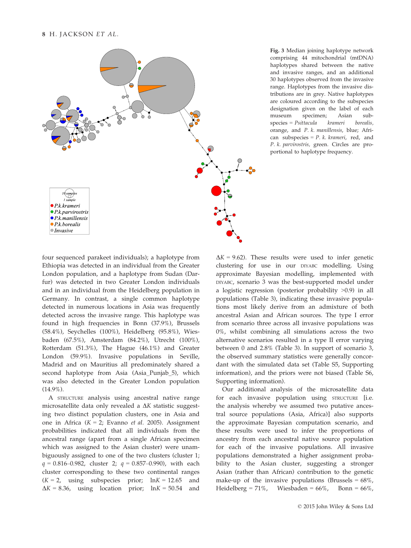

Fig. 3 Median joining haplotype network comprising 44 mitochondrial (mtDNA) haplotypes shared between the native and invasive ranges, and an additional 30 haplotypes observed from the invasive range. Haplotypes from the invasive distributions are in grey. Native haplotypes are coloured according to the subspecies designation given on the label of each museum specimen; Asian subspecies = *Psittacula krameri borealis,* orange, and *P. k. manillensis*, blue; African subspecies = *P. k. krameri*, red, and *P. k. parvirostris,* green*.* Circles are proportional to haplotype frequency.

four sequenced parakeet individuals); a haplotype from Ethiopia was detected in an individual from the Greater London population, and a haplotype from Sudan (Darfur) was detected in two Greater London individuals and in an individual from the Heidelberg population in Germany. In contrast, a single common haplotype detected in numerous locations in Asia was frequently detected across the invasive range. This haplotype was found in high frequencies in Bonn (37.9%), Brussels (58.4%), Seychelles (100%), Heidelberg (95.8%), Wiesbaden (67.5%), Amsterdam (84.2%), Utrecht (100%), Rotterdam (51.3%), The Hague (46.1%) and Greater London (59.9%). Invasive populations in Seville, Madrid and on Mauritius all predominately shared a second haplotype from Asia (Asia\_Punjab\_5), which was also detected in the Greater London population (14.9%).

A STRUCTURE analysis using ancestral native range microsatellite data only revealed a  $\Delta K$  statistic suggesting two distinct population clusters, one in Asia and one in Africa (*K* = 2; Evanno *et al.* 2005). Assignment probabilities indicated that all individuals from the ancestral range (apart from a single African specimen which was assigned to the Asian cluster) were unambiguously assigned to one of the two clusters (cluster 1; *q* = 0.816–0.982, cluster 2; *q* = 0.857–0.990), with each cluster corresponding to these two continental ranges  $(K = 2, \text{ using subspecies prior; } lnK = 12.65 \text{ and}$  $\Delta K = 8.36$ , using location prior;  $\ln K = 50.54$  and  $\Delta K = 9.62$ ). These results were used to infer genetic clustering for use in our DIYABC modelling. Using approximate Bayesian modelling, implemented with DIYABC, scenario 3 was the best-supported model under a logistic regression (posterior probability >0.9) in all populations (Table 3), indicating these invasive populations most likely derive from an admixture of both ancestral Asian and African sources. The type I error from scenario three across all invasive populations was 0%, whilst combining all simulations across the two alternative scenarios resulted in a type II error varying between 0 and 2.8% (Table 3). In support of scenario 3, the observed summary statistics were generally concordant with the simulated data set (Table S5, Supporting information), and the priors were not biased (Table S6, Supporting information).

Our additional analysis of the microsatellite data for each invasive population using STRUCTURE [i.e. the analysis whereby we assumed two putative ancestral source populations (Asia, Africa)] also supports the approximate Bayesian computation scenario, and these results were used to infer the proportions of ancestry from each ancestral native source population for each of the invasive populations. All invasive populations demonstrated a higher assignment probability to the Asian cluster, suggesting a stronger Asian (rather than African) contribution to the genetic make-up of the invasive populations (Brussels  $= 68\%$ , Heidelberg = 71%, Wiesbaden =  $66\%$ , Bonn =  $66\%$ ,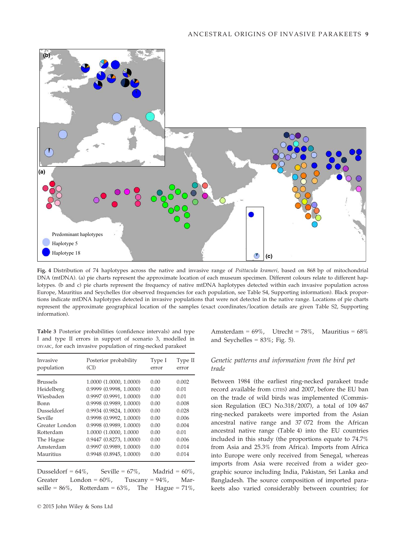

Fig. 4 Distribution of 74 haplotypes across the native and invasive range of *Psittacula krameri,* based on 868 bp of mitochondrial DNA (mtDNA). (a) pie charts represent the approximate location of each museum specimen. Different colours relate to different haplotypes. (b and c) pie charts represent the frequency of native mtDNA haplotypes detected within each invasive population across Europe, Mauritius and Seychelles (for observed frequencies for each population, see Table S4, Supporting information). Black proportions indicate mtDNA haplotypes detected in invasive populations that were not detected in the native range. Locations of pie charts represent the approximate geographical location of the samples (exact coordinates/location details are given Table S2, Supporting information).

Table 3 Posterior probabilities (confidence intervals) and type I and type II errors in support of scenario 3, modelled in DIYABC, for each invasive population of ring-necked parakeet

| Invasive<br>population | Posterior probability<br>(CI) | Type I<br>error | Type II<br>error |
|------------------------|-------------------------------|-----------------|------------------|
| <b>Brussels</b>        | 1.0000 (1.0000, 1.0000)       | 0.00            | 0.002            |
| Heidelberg             | 0.9999(0.9998, 1.0000)        | 0.00            | 0.01             |
| Wiesbaden              | 0.9997(0.9991, 1.0000)        | 0.00            | 0.01             |
| Bonn                   | 0.9998(0.9989, 1.0000)        | 0.00            | 0.008            |
| Dusseldorf             | 0.9934(0.9824, 1.0000)        | 0.00            | 0.028            |
| Seville                | 0.9998(0.9992, 1.0000)        | 0.00            | 0.006            |
| Greater London         | 0.9998 (0.9989, 1.0000)       | 0.00            | 0.004            |
| Rotterdam              | 1.0000 (1.0000, 1.0000        | 0.00            | 0.01             |
| The Hague              | 0.9447 (0.8273, 1.0000)       | 0.00            | 0.006            |
| Amsterdam              | 0.9997(0.9989, 1.0000)        | 0.00            | 0.014            |
| Mauritius              | $0.9948$ $(0.8945, 1.0000)$   | 0.00            | 0.014            |

Dusseldorf =  $64\%$ , Seville =  $67\%$ , Madrid =  $60\%$ , Greater London =  $60\%$ , Tuscany =  $94\%$ , Marseille =  $86\%$ , Rotterdam =  $63\%$ , The Hague =  $71\%$ , Amsterdam =  $69\%$ , Utrecht =  $78\%$ , Mauritius =  $68\%$ and Seychelles =  $83\%$ ; Fig. 5).

#### *Genetic patterns and information from the bird pet trade*

Between 1984 (the earliest ring-necked parakeet trade record available from CITES) and 2007, before the EU ban on the trade of wild birds was implemented (Commission Regulation (EC) No.318/2007), a total of 109 467 ring-necked parakeets were imported from the Asian ancestral native range and 37 072 from the African ancestral native range (Table 4) into the EU countries included in this study (the proportions equate to 74.7% from Asia and 25.3% from Africa). Imports from Africa into Europe were only received from Senegal, whereas imports from Asia were received from a wider geographic source including India, Pakistan, Sri Lanka and Bangladesh. The source composition of imported parakeets also varied considerably between countries; for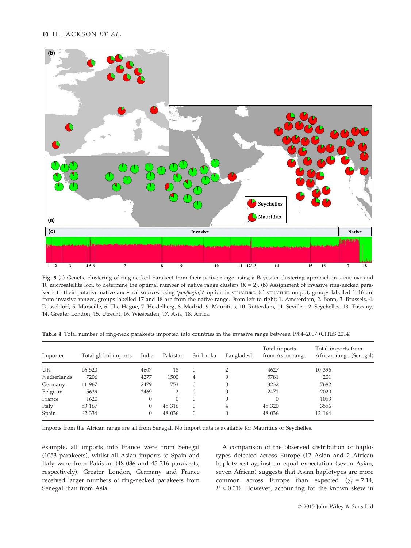

Fig. 5 (a) Genetic clustering of ring-necked parakeet from their native range using a Bayesian clustering approach in STRUCTURE and 10 microsatellite loci, to determine the optimal number of native range clusters (*K* = 2). (b) Assignment of invasive ring-necked parakeets to their putative native ancestral sources using '*popflaginfo'* option in STRUCTURE. (c) STRUCTURE output, groups labelled 1–16 are from invasive ranges, groups labelled 17 and 18 are from the native range. From left to right; 1. Amsterdam, 2. Bonn, 3. Brussels, 4. Dusseldorf, 5. Marseille, 6. The Hague, 7. Heidelberg, 8. Madrid, 9. Mauritius, 10. Rotterdam, 11. Seville, 12. Seychelles, 13. Tuscany, 14. Greater London, 15. Utrecht, 16. Wiesbaden, 17. Asia, 18. Africa.

Table 4 Total number of ring-neck parakeets imported into countries in the invasive range between 1984–2007 (CITES 2014)

| Importer    | Total global imports | India    | Pakistan | Sri Lanka | Bangladesh | Total imports<br>from Asian range | Total imports from<br>African range (Senegal) |
|-------------|----------------------|----------|----------|-----------|------------|-----------------------------------|-----------------------------------------------|
|             |                      |          |          |           |            |                                   |                                               |
| UK          | 16 520               | 4607     | 18       | $\theta$  |            | 4627                              | 10 39 6                                       |
| Netherlands | 7206                 | 4277     | 1500     | 4         |            | 5781                              | 201                                           |
| Germany     | 11 967               | 2479     | 753      | $\theta$  |            | 3232                              | 7682                                          |
| Belgium     | 5639                 | 2469     |          | $\Omega$  | 0          | 2471                              | 2020                                          |
| France      | 1620                 | $\theta$ | $\Omega$ | $\theta$  | 0          |                                   | 1053                                          |
| Italy       | 53 167               | $\theta$ | 45 316   | $\theta$  | 4          | 45 320                            | 3556                                          |
| Spain       | 62 334               | 0        | 48 036   | $\theta$  |            | 48 036                            | 12 164                                        |

Imports from the African range are all from Senegal. No import data is available for Mauritius or Seychelles.

example, all imports into France were from Senegal (1053 parakeets), whilst all Asian imports to Spain and Italy were from Pakistan (48 036 and 45 316 parakeets, respectively). Greater London, Germany and France received larger numbers of ring-necked parakeets from Senegal than from Asia.

A comparison of the observed distribution of haplotypes detected across Europe (12 Asian and 2 African haplotypes) against an equal expectation (seven Asian, seven African) suggests that Asian haplotypes are more common across Europe than expected  $(\chi_1^2 = 7.14,$ *P* < 0.01). However, accounting for the known skew in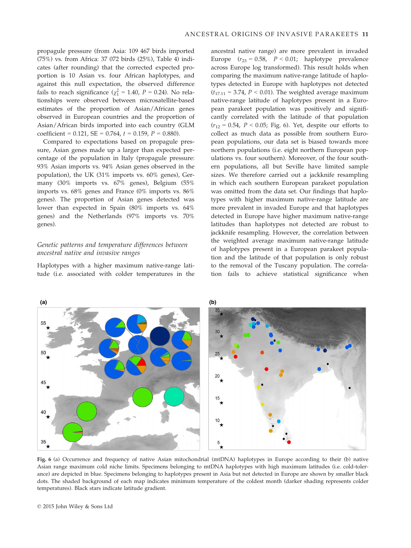propagule pressure (from Asia: 109 467 birds imported (75%) vs. from Africa: 37 072 birds (25%), Table 4) indicates (after rounding) that the corrected expected proportion is 10 Asian vs. four African haplotypes, and against this null expectation, the observed difference fails to reach significance ( $\chi^2$  = 1.40, *P* = 0.24). No relationships were observed between microsatellite-based estimates of the proportion of Asian/African genes observed in European countries and the proportion of Asian/African birds imported into each country (GLM coefficient = 0.121, SE = 0.764, *t* = 0.159, *P* = 0.880).

Compared to expectations based on propagule pressure, Asian genes made up a larger than expected percentage of the population in Italy (propagule pressure: 93% Asian imports vs. 94% Asian genes observed in the population), the UK (31% imports vs. 60% genes), Germany (30% imports vs. 67% genes), Belgium (55% imports vs. 68% genes and France (0% imports vs. 86% genes). The proportion of Asian genes detected was lower than expected in Spain (80% imports vs. 64% genes) and the Netherlands (97% imports vs. 70% genes).

#### *Genetic patterns and temperature differences between ancestral native and invasive ranges*

Haplotypes with a higher maximum native-range latitude (i.e. associated with colder temperatures in the ancestral native range) are more prevalent in invaded Europe  $(r_{23} = 0.58, P \le 0.01;$  haplotype prevalence across Europe log transformed). This result holds when comparing the maximum native-range latitude of haplotypes detected in Europe with haplotypes not detected  $(t_{17.11} = 3.74, P < 0.01)$ . The weighted average maximum native-range latitude of haplotypes present in a European parakeet population was positively and significantly correlated with the latitude of that population  $(r_{12} = 0.54, P < 0.05;$  Fig. 6). Yet, despite our efforts to collect as much data as possible from southern European populations, our data set is biased towards more northern populations (i.e. eight northern European populations vs. four southern). Moreover, of the four southern populations, all but Seville have limited sample sizes. We therefore carried out a jackknife resampling in which each southern European parakeet population was omitted from the data set. Our findings that haplotypes with higher maximum native-range latitude are more prevalent in invaded Europe and that haplotypes detected in Europe have higher maximum native-range latitudes than haplotypes not detected are robust to jackknife resampling. However, the correlation between the weighted average maximum native-range latitude of haplotypes present in a European parakeet population and the latitude of that population is only robust to the removal of the Tuscany population. The correlation fails to achieve statistical significance when



Fig. 6 (a) Occurrence and frequency of native Asian mitochondrial (mtDNA) haplotypes in Europe according to their (b) native Asian range maximum cold niche limits. Specimens belonging to mtDNA haplotypes with high maximum latitudes (i.e. cold-tolerance) are depicted in blue. Specimens belonging to haplotypes present in Asia but not detected in Europe are shown by smaller black dots. The shaded background of each map indicates minimum temperature of the coldest month (darker shading represents colder temperatures). Black stars indicate latitude gradient.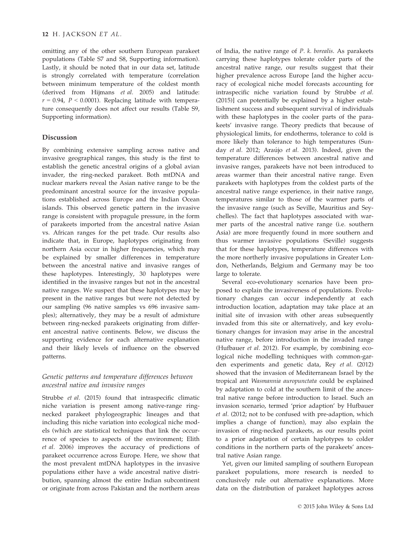omitting any of the other southern European parakeet populations (Table S7 and S8, Supporting information). Lastly, it should be noted that in our data set, latitude is strongly correlated with temperature (correlation between minimum temperature of the coldest month (derived from Hijmans *et al.* 2005) and latitude:  $r = 0.94$ ,  $P < 0.0001$ ). Replacing latitude with temperature consequently does not affect our results (Table S9, Supporting information).

#### Discussion

By combining extensive sampling across native and invasive geographical ranges, this study is the first to establish the genetic ancestral origins of a global avian invader, the ring-necked parakeet. Both mtDNA and nuclear markers reveal the Asian native range to be the predominant ancestral source for the invasive populations established across Europe and the Indian Ocean islands. This observed genetic pattern in the invasive range is consistent with propagule pressure, in the form of parakeets imported from the ancestral native Asian vs. African ranges for the pet trade. Our results also indicate that, in Europe, haplotypes originating from northern Asia occur in higher frequencies, which may be explained by smaller differences in temperature between the ancestral native and invasive ranges of these haplotypes. Interestingly, 30 haplotypes were identified in the invasive ranges but not in the ancestral native ranges. We suspect that these haplotypes may be present in the native ranges but were not detected by our sampling (96 native samples vs 696 invasive samples); alternatively, they may be a result of admixture between ring-necked parakeets originating from different ancestral native continents. Below, we discuss the supporting evidence for each alternative explanation and their likely levels of influence on the observed patterns.

#### *Genetic patterns and temperature differences between ancestral native and invasive ranges*

Strubbe *et al.* (2015) found that intraspecific climatic niche variation is present among native-range ringnecked parakeet phylogeographic lineages and that including this niche variation into ecological niche models (which are statistical techniques that link the occurrence of species to aspects of the environment; Elith *et al.* 2006) improves the accuracy of predictions of parakeet occurrence across Europe. Here, we show that the most prevalent mtDNA haplotypes in the invasive populations either have a wide ancestral native distribution, spanning almost the entire Indian subcontinent or originate from across Pakistan and the northern areas

of India, the native range of *P. k. borealis*. As parakeets carrying these haplotypes tolerate colder parts of the ancestral native range, our results suggest that their higher prevalence across Europe [and the higher accuracy of ecological niche model forecasts accounting for intraspecific niche variation found by Strubbe *et al.* (2015)] can potentially be explained by a higher establishment success and subsequent survival of individuals with these haplotypes in the cooler parts of the parakeets' invasive range. Theory predicts that because of physiological limits, for endotherms, tolerance to cold is more likely than tolerance to high temperatures (Sunday *et al.* 2012; Araújo et al. 2013). Indeed, given the temperature differences between ancestral native and invasive ranges, parakeets have not been introduced to areas warmer than their ancestral native range. Even parakeets with haplotypes from the coldest parts of the ancestral native range experience, in their native range, temperatures similar to those of the warmer parts of the invasive range (such as Seville, Mauritius and Seychelles). The fact that haplotypes associated with warmer parts of the ancestral native range (i.e. southern Asia) are more frequently found in more southern and thus warmer invasive populations (Seville) suggests that for these haplotypes, temperature differences with the more northerly invasive populations in Greater London, Netherlands, Belgium and Germany may be too large to tolerate.

Several eco-evolutionary scenarios have been proposed to explain the invasiveness of populations. Evolutionary changes can occur independently at each introduction location, adaptation may take place at an initial site of invasion with other areas subsequently invaded from this site or alternatively, and key evolutionary changes for invasion may arise in the ancestral native range, before introduction in the invaded range (Hufbauer *et al.* 2012). For example, by combining ecological niche modelling techniques with common-garden experiments and genetic data, Rey *et al.* (2012) showed that the invasion of Mediterranean Israel by the tropical ant *Wasmannia auropunctata* could be explained by adaptation to cold at the southern limit of the ancestral native range before introduction to Israel. Such an invasion scenario, termed 'prior adaption' by Hufbauer *et al.* (2012; not to be confused with pre-adaption, which implies a change of function), may also explain the invasion of ring-necked parakeets, as our results point to a prior adaptation of certain haplotypes to colder conditions in the northern parts of the parakeets' ancestral native Asian range.

Yet, given our limited sampling of southern European parakeet populations, more research is needed to conclusively rule out alternative explanations. More data on the distribution of parakeet haplotypes across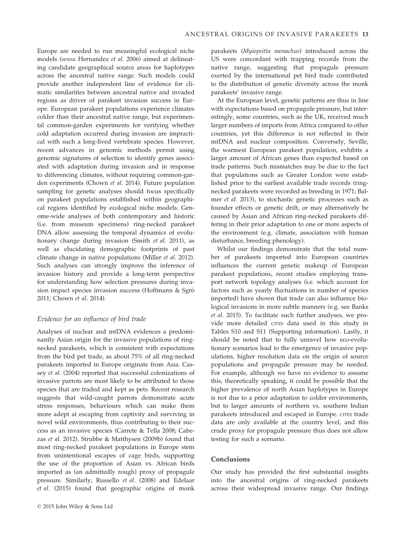Europe are needed to run meaningful ecological niche models (*sensu* Hernandez *et al.* 2006) aimed at delineating candidate geographical source areas for haplotypes across the ancestral native range. Such models could provide another independent line of evidence for climatic similarities between ancestral native and invaded regions as driver of parakeet invasion success in Europe. European parakeet populations experience climates colder than their ancestral native range, but experimental common-garden experiments for verifying whether cold adaptation occurred during invasion are impractical with such a long-lived vertebrate species. However, recent advances in genomic methods permit using genomic signatures of selection to identify genes associated with adaptation during invasion and in response to differencing climates, without requiring common-garden experiments (Chown *et al.* 2014). Future population sampling for genetic analyses should focus specifically on parakeet populations established within geographical regions identified by ecological niche models. Genome-wide analyses of both contemporary and historic (i.e. from museum specimens) ring-necked parakeet DNA allow assessing the temporal dynamics of evolutionary change during invasion (Smith *et al.* 2011), as well as elucidating demographic footprints of past climate change in native populations (Miller *et al.* 2012). Such analyses can strongly improve the inference of invasion history and provide a long-term perspective for understanding how selection pressures during invasion impact species invasion success (Hoffmann & Sgro 2011; Chown *et al.* 2014).

#### *Evidence for an influence of bird trade*

Analyses of nuclear and mtDNA evidences a predominantly Asian origin for the invasive populations of ringnecked parakeets, which is consistent with expectations from the bird pet trade, as about 75% of all ring-necked parakeets imported in Europe originate from Asia. Cassey *et al.* (2004) reported that successful colonizations of invasive parrots are most likely to be attributed to those species that are traded and kept as pets. Recent research suggests that wild-caught parrots demonstrate acute stress responses, behaviours which can make them more adept at escaping from captivity and surviving in novel wild environments, thus contributing to their success as an invasive species (Carrete & Tella 2008; Cabezas *et al.* 2012). Strubbe & Matthysen (2009b) found that most ring-necked parakeet populations in Europe stem from unintentional escapes of cage birds, supporting the use of the proportion of Asian vs. African birds imported as (an admittedly rough) proxy of propagule pressure. Similarly, Russello *et al.* (2008) and Edelaar *et al.* (2015) found that geographic origins of monk

parakeets (*Myiopsitta monachus*) introduced across the US were concordant with trapping records from the native range, suggesting that propagule pressure exerted by the international pet bird trade contributed to the distribution of genetic diversity across the monk parakeets' invasive range.

At the European level, genetic patterns are thus in line with expectations based on propagule pressure, but interestingly, some countries, such as the UK, received much larger numbers of imports from Africa compared to other countries, yet this difference is not reflected in their mtDNA and nuclear composition. Conversely, Seville, the warmest European parakeet population, exhibits a larger amount of African genes than expected based on trade patterns. Such mismatches may be due to the fact that populations such as Greater London were established prior to the earliest available trade records (ringnecked parakeets were recorded as breeding in 1971; Balmer *et al.* 2013), to stochastic genetic processes such as founder effects or genetic drift, or may alternatively be caused by Asian and African ring-necked parakeets differing in their prior adaptation to one or more aspects of the environment (e.g. climate, association with human disturbance, breeding phenology).

Whilst our findings demonstrate that the total number of parakeets imported into European countries influences the current genetic makeup of European parakeet populations, recent studies employing transport network topology analyses (i.e. which account for factors such as yearly fluctuations in number of species imported) have shown that trade can also influence biological invasions in more subtle manners (e.g. see Banks *et al.* 2015). To facilitate such further analyses, we provide more detailed CITES data used in this study in Tables S10 and S11 (Supporting information). Lastly, it should be noted that to fully unravel how eco-evolutionary scenarios lead to the emergence of invasive populations, higher resolution data on the origin of source populations and propagule pressure may be needed. For example, although we have no evidence to assume this, theoretically speaking, it could be possible that the higher prevalence of north Asian haplotypes in Europe is not due to a prior adaptation to colder environments, but to larger amounts of northern vs. southern Indian parakeets introduced and escaped in Europe. CITES trade data are only available at the country level, and this crude proxy for propagule pressure thus does not allow testing for such a scenario.

#### Conclusions

Our study has provided the first substantial insights into the ancestral origins of ring-necked parakeets across their widespread invasive range. Our findings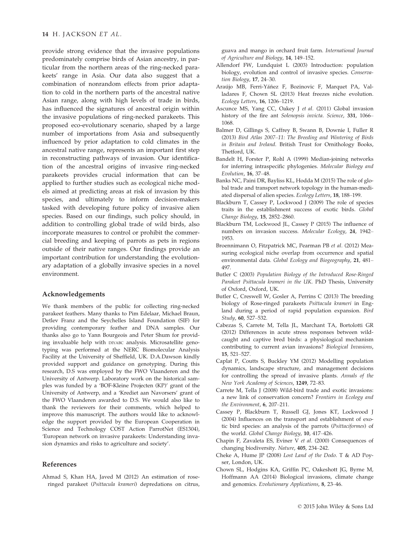#### 14 H. JACKSON *ET AL.*

provide strong evidence that the invasive populations predominately comprise birds of Asian ancestry, in particular from the northern areas of the ring-necked parakeets' range in Asia. Our data also suggest that a combination of nonrandom effects from prior adaptation to cold in the northern parts of the ancestral native Asian range, along with high levels of trade in birds, has influenced the signatures of ancestral origin within the invasive populations of ring-necked parakeets. This proposed eco-evolutionary scenario, shaped by a large number of importations from Asia and subsequently influenced by prior adaptation to cold climates in the ancestral native range, represents an important first step in reconstructing pathways of invasion. Our identification of the ancestral origins of invasive ring-necked parakeets provides crucial information that can be applied to further studies such as ecological niche models aimed at predicting areas at risk of invasion by this species, and ultimately to inform decision-makers tasked with developing future policy of invasive alien species. Based on our findings, such policy should, in addition to controlling global trade of wild birds, also incorporate measures to control or prohibit the commercial breeding and keeping of parrots as pets in regions outside of their native ranges. Our findings provide an important contribution for understanding the evolutionary adaptation of a globally invasive species in a novel environment.

#### Acknowledgements

We thank members of the public for collecting ring-necked parakeet feathers. Many thanks to Pim Edelaar, Michael Braun, Detlev Franz and the Seychelles Island Foundation (SIF) for providing contemporary feather and DNA samples. Our thanks also go to Yann Bourgeois and Peter Shum for providing invaluable help with DIYABC analysis. Microsatellite genotyping was performed at the NERC Biomolecular Analysis Facility at the University of Sheffield, UK. D.A.Dawson kindly provided support and guidance on genotyping. During this research, D.S was employed by the FWO Vlaanderen and the University of Antwerp. Laboratory work on the historical samples was funded by a 'BOF-Kleine Projecten (KP)' grant of the University of Antwerp, and a 'Krediet aan Navorsers' grant of the FWO Vlaanderen awarded to D.S. We would also like to thank the reviewers for their comments, which helped to improve this manuscript. The authors would like to acknowledge the support provided by the European Cooperation in Science and Technology COST Action ParrotNet (ES1304), 'European network on invasive parakeets: Understanding invasion dynamics and risks to agriculture and society'.

#### References

Ahmad S, Khan HA, Javed M (2012) An estimation of roseringed parakeet (*Psittacula krameri*) depredations on citrus, guava and mango in orchard fruit farm. *International Journal of Agriculture and Biology*, 14, 149–152.

- Allendorf FW, Lundquist L (2003) Introduction: population biology, evolution and control of invasive species. *Conservation Biology*, 17, 24–30.
- Araújo MB, Ferri-Yáñez F, Bozinovic F, Marquet PA, Valladares F, Chown SL (2013) Heat freezes niche evolution. *Ecology Letters*, 16, 1206–1219.
- Ascunce MS, Yang CC, Oakey J *et al.* (2011) Global invasion history of the fire ant *Solenopsis invicta*. *Science*, 331, 1066– 1068.
- Balmer D, Gillings S, Caffrey B, Swann B, Downie I, Fuller R (2013) *Bird Atlas 2007*–*11: The Breeding and Wintering of Birds in Britain and Ireland*. British Trust for Ornithology Books, Thetford, UK.
- Bandelt H, Forster P, Rohl A (1999) Median-joining networks for inferring intraspecific phylogenies. *Molecular Biology and Evolution*, 16, 37–48.
- Banks NC, Paini DR, Bayliss KL, Hodda M (2015) The role of global trade and transport network topology in the human-mediated dispersal of alien species. *Ecology Letters*, 18, 188–199.
- Blackburn T, Cassey P, Lockwood J (2009) The role of species traits in the establishment success of exotic birds. *Global Change Biology*, 15, 2852–2860.
- Blackburn TM, Lockwood JL, Cassey P (2015) The influence of numbers on invasion success. *Molecular Ecology*, 24, 1942– 1953.
- Broennimann O, Fitzpatrick MC, Pearman PB *et al.* (2012) Measuring ecological niche overlap from occurrence and spatial environmental data. *Global Ecology and Biogeography*, 21, 481– 497.
- Butler C (2003) *Population Biology of the Introduced Rose-Ringed Parakeet Psittacula krameri in the UK*. PhD Thesis, University of Oxford, Oxford, UK.
- Butler C, Creswell W, Gosler A, Perrins C (2013) The breeding biology of Rose-ringed parakeets *Psittacula krameri* in England during a period of rapid population expansion. *Bird Study*, 60, 527–532.
- Cabezas S, Carrete M, Tella JL, Marchant TA, Bortolotti GR (2012) Differences in acute stress responses between wildcaught and captive bred birds: a physiological mechanism contributing to current avian invasions? *Biological Invasions*, 15, 521–527.
- Caplat P, Coutts S, Buckley YM (2012) Modelling population dynamics, landscape structure, and management decisions for controlling the spread of invasive plants. *Annals of the New York Academy of Sciences*, 1249, 72–83.
- Carrete M, Tella J (2008) Wild-bird trade and exotic invasions: a new link of conservation concern? *Frontiers in Ecology and the Environment*, 6, 207–211.
- Cassey P, Blackburn T, Russell GJ, Jones KT, Lockwood J (2004) Influences on the transport and establishment of exotic bird species: an analysis of the parrots (*Psittaciformes*) of the world. *Global Change Biology*, 10, 417–426.
- Chapin F, Zavaleta ES, Eviner V *et al.* (2000) Consequences of changing biodiversity. *Nature*, 405, 234–242.
- Cheke A, Hume JP (2008) *Lost Land of the Dodo*. T & AD Poyser, London, UK.
- Chown SL, Hodgins KA, Griffin PC, Oakeshott JG, Byrne M, Hoffmann AA (2014) Biological invasions, climate change and genomics. *Evolutionary Applications*, 8, 23–46.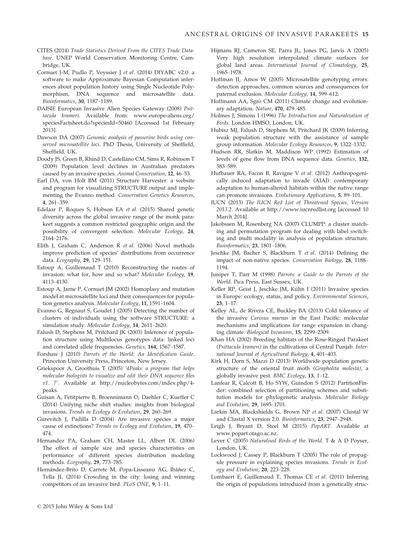- CITES (2014) *Trade Statistics Derived From the CITES Trade Database*. UNEP World Conservation Monitoring Centre, Cambridge, UK.
- Cornuet J-M, Pudlo P, Veyssier J *et al.* (2014) DIYABC v2.0: a software to make Approximate Bayesian Computation inferences about population history using Single Nucleotide Polymorphism, DNA sequence and microsatellite data. *Bioinformatics*, 30, 1187–1189.
- DAISIE European Invasive Alien Species Gateway (2008) *Psittacula krameri*. Available from: [www.europe-aliens.org/](http://www.europe-aliens.org/speciesFactsheet.do?speciesId=50460) [speciesFactsheet.do?speciesId=50460](http://www.europe-aliens.org/speciesFactsheet.do?speciesId=50460) [Accessed 1st February 2013].
- Dawson DA (2007) *Genomic analysis of passerine birds using conserved microsatellite loci*. PhD Thesis, University of Sheffield, Sheffield, UK.
- Doody JS, Green B, Rhind D, Castellano CM, Sims R, Robinson T (2009) Population level declines in Australian predators caused by an invasive species. *Animal Conservation*, 12, 46–53.
- Earl DA, von Holt BM (2011) Structure Harvester: a website and program for visualizing STRUCTURE output and implementing the Evanno method. *Conservation Genetics Resources*, 4, 261–359.
- Edelaar P, Roques S, Hobson EA *et al.* (2015) Shared genetic diversity across the global invasive range of the monk parakeet suggests a common restricted geographic origin and the possibility of convergent selection. *Molecular Ecology*, 24, 2164–2176.
- Elith J, Graham C, Anderson R *et al.* (2006) Novel methods improve prediction of species' distributions from occurrence data. *Ecography*, 29, 129–151.
- Estoup A, Guillemaud T (2010) Reconstructing the routes of invasion: what for, how and so what? *Molecular Ecology*, 19, 4113–4130.
- Estoup A, Jarne P, Cornuet JM (2002) Homoplasy and mutation model at microsatellite loci and their consequences for population genetics analysis. *Molecular Ecology*, 11, 1591–1604.
- Evanno G, Regnaut S, Goudet J (2005) Detecting the number of clusters of individuals using the software STRUCTURE: a simulation study. *Molecular Ecology*, 14, 2611–2620.
- Falush D, Stephens M, Pritchard JK (2003) Inference of population structure using Multilocus genotypes data: linked loci and correlated allele frequencies. *Genetics*, 164, 1567–1587.
- Forshaw J (2010) *Parrots of the World: An Identification Guide*. Princeton University Press, Princeton, New Jersey.
- Griekspoor A, Groothuis T (2005) *'4Peaks: a program that helps molecular biologists to visualize and edit their DNA sequence files v1. 7'*. Available at [http://nucleobytes.com/index.php/4](http://nucleobytes.com/index.php/4peaks) [peaks](http://nucleobytes.com/index.php/4peaks).
- Guisan A, Petitpierre B, Broennimann O, Daehler C, Kueffer C (2014) Unifying niche shift studies: insights from biological invasions. *Trends in Ecology & Evolution*, 29, 260–269.
- Gurevitch J, Padilla D (2004) Are invasive species a major cause of extinctions? *Trends in Ecology and Evolution*, 19, 470– 474.
- Hernandez PA, Graham CH, Master LL, Albert DL (2006) The effect of sample size and species characteristics on performance of different species distribution modeling methods. *Ecography*, 29, 773–785.
- Hernández-Brito D, Carrete M, Popa-Lisseanu AG, Ibáñez C, Tella JL (2014) Crowding in the city: losing and winning competitors of an invasive bird. *PLoS ONE*, 9, 1–11.
- Hijmans RJ, Cameron SE, Parra JL, Jones PG, Jarvis A (2005) Very high resolution interpolated climate surfaces for global land areas. *International Journal of Climatology*, 25, 1965–1978.
- Hoffman JI, Amos W (2005) Microsatellite genotyping errors: detection approaches, common sources and consequences for paternal exclusion. *Molecular Ecology*, 14, 599–612.
- Hoffmann AA, Sgrò CM (2011) Climate change and evolutionary adaptation. *Nature*, 470, 479–485.
- Holmes J, Simons I (1996) *The Introduction and Naturalization of Birds*. London HMSO, London, UK.
- Hubisz MJ, Falush D, Stephens M, Pritchard JK (2009) Inferring weak population structure with the assistance of sample group information. *Molecular Ecology Resources*, 9, 1322–1332.
- Hudson RR, Slatkin M, Maddison WP (1992) Estimation of levels of gene flow from DNA sequence data. *Genetics*, 132, 583–589.
- Hufbauer RA, Facon B, Ravigne V *et al.* (2012) Anthropogenically induced adaptation to invade (AIAI): contemporary adaptation to human-altered habitats within the native range can promote invasions. *Evolutionary Applications*, 5, 89–101.
- IUCN (2013) *The IUCN Red List of Threatened Species, Version 2013.2*. Available at<http://www.iucnredlist.org> [accessed 10 March 2014].
- Jakobssen M, Rosenberg NA (2007) CLUMPP: a cluster matching and permutation program for dealing with label switching and multi modality in analysis of population structure. *Bioinformatics*, 23, 1801–1806.
- Jeschke JM, Bacher S, Blackburn T *et al.* (2014) Defining the impact of non-native species. *Conservation Biology*, 28, 1188– 1194.
- Juniper T, Parr M (1998) *Parrots: a Guide to the Parrots of the World*. Pica Press, East Sussex, UK.
- Keller RP, Geist J, Jeschke JM, Kühn I (2011) Invasive species in Europe: ecology, status, and policy. *Environmental Sciences*, 23, 1–17.
- Kelley AL, de Rivera CE, Buckley BA (2013) Cold tolerance of the invasive *Carinus maenas* in the East Pacific: molecular mechanisms and implications for range expansion in changing climate. *Biological Invasions*, 15, 2299–2309.
- Khan HA (2002) Breeding habitats of the Rose-Ringed Parakeet (*Psittacula krameri)* in the cultivations of Central Punjab. *International Journal of Agricultural Biology*, 4, 401–403.
- Kirk H, Dorn S, Mazzi D (2013) Worldwide population genetic structure of the oriental fruit moth (*Grapholita molesta)*, a globally invasive pest. *BMC Ecology*, 13, 1–12.
- Lanfear R, Calcott B, Ho SYW, Guindon S (2012) PartitionFinder: combined selection of partitioning schemes and substitution models for phylogenetic analysis. *Molecular Biology and Evolution*, 29, 1695–1701.
- Larkin MA, Blackshields G, Brown NP *et al.* (2007) Clustal W and Clustal X version 2.0. *Bioinformatics*, 23, 2947–2948.
- Leigh J, Bryant D, Steel M (2015) *PopART*. Available at [www.popart.otago.ac.nz](http://www.popart.otago.ac.nz).
- Lever C (2005) *Naturalised Birds of the World*. T & A D Poyser, London, UK.
- Lockwood J, Cassey P, Blackburn T (2005) The role of propagule pressure in explaining species invasions. *Trends in Ecology and Evolution*, 20, 223–228.
- Lombaert E, Guillemaud T, Thomas CE *et al.* (2011) Inferring the origin of populations introduced from a genetically struc-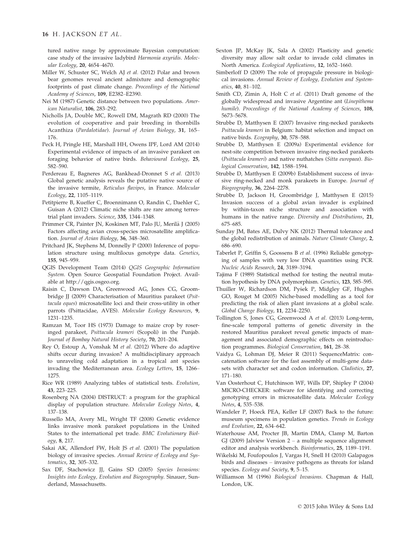tured native range by approximate Bayesian computation: case study of the invasive ladybird *Harmonia axyridis*. *Molecular Ecology*, 20, 4654–4670.

- Miller W, Schuster SC, Welch AJ *et al.* (2012) Polar and brown bear genomes reveal ancient admixture and demographic footprints of past climate change. *Proceedings of the National Academy of Sciences*, 109, E2382–E2390.
- Nei M (1987) Genetic distance between two populations. *American Naturalist*, 106, 283–292.
- Nicholls JA, Double MC, Rowell DM, Magrath RD (2000) The evolution of cooperative and pair breeding in thornbills Acanthiza (*Pardalotidae*). *Journal of Avian Biology*, 31, 165– 176.
- Peck H, Pringle HE, Marshall HH, Owens IPF, Lord AM (2014) Experimental evidence of impacts of an invasive parakeet on foraging behavior of native birds. *Behavioural Ecology*, 25, 582–590.
- Perdereau E, Bagneres AG, Bankhead-Dronnet S *et al.* (2013) Global genetic analysis reveals the putative native source of the invasive termite, *Reticulus flavipes*, in France. *Molecular Ecology*, 22, 1105–1119.
- Petitpierre B, Kueffer C, Broennimann O, Randin C, Daehler C, Guisan A (2012) Climatic niche shifts are rare among terrestrial plant invaders. *Science*, 335, 1344–1348.
- Primmer CR, Painter JN, Koskinen MT, Palo JU, Merilä J (2005) Factors affecting avian cross-species microsatellite amplification. *Journal of Avian Biology*, 36, 348–360.
- Pritchard JK, Stephens M, Donnelly P (2000) Inference of population structure using multilocus genotype data. *Genetics*, 155, 945–959.
- QGIS Development Team (2014) *QGIS Geographic Information System*. Open Source Geospatial Foundation Project. Available at<http://qgis.osgeo.org>.
- Raisin C, Dawson DA, Greenwood AG, Jones CG, Groombridge JJ (2009) Characterisation of Mauritius parakeet (*Psittacula eques*) microsatellite loci and their cross-utility in other parrots (Psittacidae, AVES). *Molecular Ecology Resources*, 9, 1231–1235.
- Ramzan M, Toor HS (1973) Damage to maize crop by roseringed parakeet, *Psittacula krameri* (Scopoli) in the Punjab. *Journal of Bombay Natural History Society*, 70, 201–204.
- Rey O, Estoup A, Vonshak M *et al.* (2012) Where do adaptive shifts occur during invasion? A multidisciplinary approach to unraveling cold adaptation in a tropical ant species invading the Mediterranean area. *Ecology Letters*, 15, 1266– 1275.
- Rice WR (1989) Analyzing tables of statistical tests. *Evolution*, 43, 223–225.
- Rosenberg NA (2004) DISTRUCT: a program for the graphical display of population structure. *Molecular Ecology Notes*, 4, 137–138.
- Russello MA, Avery ML, Wright TF (2008) Genetic evidence links invasive monk parakeet populations in the United States to the international pet trade. *BMC Evolutionary Biology*, 8, 217.
- Sakai AK, Allendorf FW, Holt JS *et al.* (2001) The population biology of invasive species. *Annual Review of Ecology and Systematics*, 32, 305–332.
- Sax DF, Stachowicz JJ, Gains SD (2005) *Species Invasions: Insights into Ecology, Evolution and Biogeography*. Sinauer, Sunderland, Massachusetts.
- Sexton JP, McKay JK, Sala A (2002) Plasticity and genetic diversity may allow salt cedar to invade cold climates in North America. *Ecological Applications*, 12, 1652–1660.
- Simberloff D (2009) The role of propagule pressure in biological invasions. *Annual Review of Ecology, Evolution and Systematics*, 40, 81–102.
- Smith CD, Zimin A, Holt C *et al.* (2011) Draft genome of the globally widespread and invasive Argentine ant (*Linepithema humile*). *Proceedings of the National Academy of Sciences*, 108, 5673–5678.
- Strubbe D, Matthysen E (2007) Invasive ring-necked parakeets *Psittacula krameri* in Belgium: habitat selection and impact on native birds. *Ecography*, 30, 578–588.
- Strubbe D, Matthysen E (2009a) Experimental evidence for nest-site competition between invasive ring-necked parakeets (*Psittacula krameri*) and native nuthatches (*Sitta europaea*). *Biological Conservation*, 142, 1588–1594.
- Strubbe D, Matthysen E (2009b) Establishment success of invasive ring-necked and monk parakeets in Europe. *Journal of Biogeography*, 36, 2264–2278.
- Strubbe D, Jackson H, Groombridge J, Matthysen E (2015) Invasion success of a global avian invader is explained by within-taxon niche structure and association with humans in the native range. *Diversity and Distributions*, 21, 675–685.
- Sunday JM, Bates AE, Dulvy NK (2012) Thermal tolerance and the global redistribution of animals. *Nature Climate Change*, 2, 686–690.
- Taberlet P, Griffin S, Goossens B *et al.* (1996) Reliable genotyping of samples with very low DNA quantities using PCR. *Nucleic Acids Research*, 24, 3189–3194.
- Tajima F (1989) Statistical method for testing the neutral mutation hypothesis by DNA polymorphism. *Genetics*, 123, 585–595.
- Thuiller W, Richardson DM, Pysek P, Midgley GF, Hughes GO, Rouget M (2005) Niche-based modelling as a tool for predicting the risk of alien plant invasions at a global scale. *Global Change Biology*, 11, 2234–2250.
- Tollington S, Jones CG, Greenwood A *et al.* (2013) Long-term, fine-scale temporal patterns of genetic diversity in the restored Mauritius parakeet reveal genetic impacts of management and associated demographic effects on reintroduction programmes. *Biological Conservation*, 161, 28–38.
- Vaidya G, Lohman DJ, Meier R (2011) SequenceMatrix: concatenation software for the fast assembly of multi-gene datasets with character set and codon information. *Cladistics*, 27, 171–180.
- Van Oosterhout C, Hutchinson WF, Wills DP, Shipley P (2004) MICRO-CHECKER: software for identifying and correcting genotyping errors in microsatellite data. *Molecular Ecology Notes*, 4, 535–538.
- Wandeler P, Hoeck PEA, Keller LF (2007) Back to the future: museum specimens in population genetics. *Trends in Ecology and Evolution*, 22, 634–642.
- Waterhouse AM, Procter JB, Martin DMA, Clamp M, Barton GJ (2009) Jalview Version  $2 - a$  multiple sequence alignment editor and analysis workbench. *Bioinformatics*, 25, 1189–1191.
- Wikelski M, Foufopoulos J, Vargas H, Snell H (2010) Galapagos birds and diseases – invasive pathogens as threats for island species. *Ecology and Society*, 9, 5–15.
- Williamson M (1996) *Biological Invasions*. Chapman & Hall, London, UK.